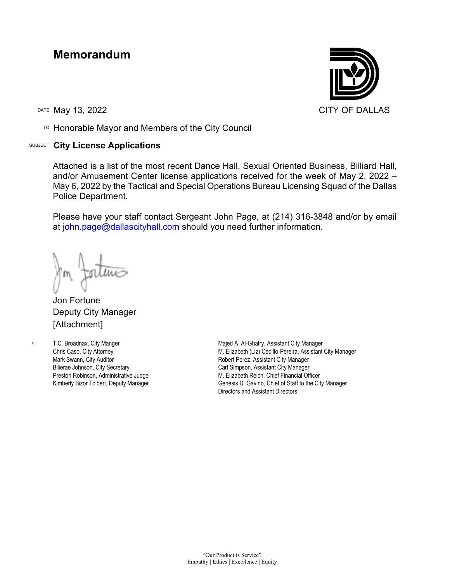## **Memorandum**

TO Honorable Mayor and Members of the City Council

## SUBJECT **City License Applications**



Attached is a list of the most recent Dance Hall, Sexual Oriented Business, Billiard Hall, and/or Amusement Center license applications received for the week of May 2, 2022 – May 6, 2022 by the Tactical and Special Operations Bureau Licensing Squad of the Dallas Police Department.

Please have your staff contact Sergeant John Page, at (214) 316-3848 and/or by email at [john.page@dallascityhall.com](mailto:john.page@dallascityhall.com) should you need further information.

Jon Fortune Deputy City Manager [Attachment]

T.C. Broadnax, City Manger Chris Caso, City Attorney Mark Swann, City Auditor Bilierae Johnson, City Secretary Preston Robinson, Administrative Judge Kimberly Bizor Tolbert, Deputy Manager

c: T.C. Broadnax, City Manger The Majed A. Al-Ghafry, Assistant City Manager M. Elizabeth (Liz) Cedillo-Pereira, Assistant City Manager Robert Perez, Assistant City Manager Carl Simpson, Assistant City Manager M. Elizabeth Reich, Chief Financial Officer Genesis D. Gavino, Chief of Staff to the City Manager Directors and Assistant Directors